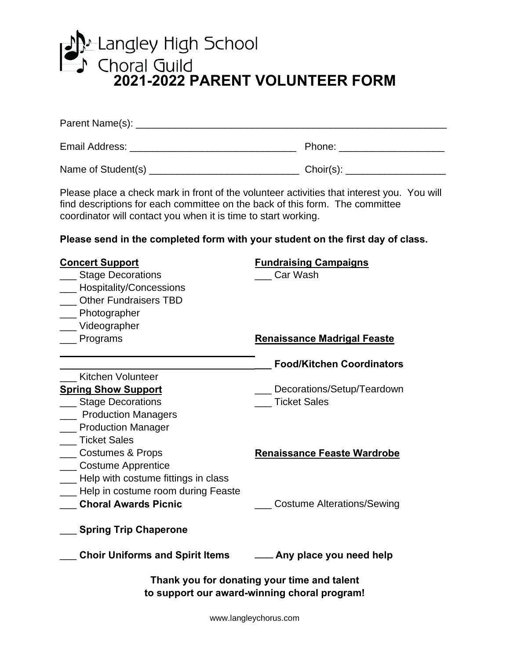

| Parent Name(s):    |              |
|--------------------|--------------|
| Email Address:     | Phone:       |
| Name of Student(s) | $Choir(s)$ : |

Please place a check mark in front of the volunteer activities that interest you. You will find descriptions for each committee on the back of this form. The committee coordinator will contact you when it is time to start working.

**Please send in the completed form with your student on the first day of class.**

| <b>Concert Support</b>                                                                      | <b>Fundraising Campaigns</b>       |  |
|---------------------------------------------------------------------------------------------|------------------------------------|--|
| <b>Stage Decorations</b>                                                                    | Car Wash                           |  |
| Hospitality/Concessions                                                                     |                                    |  |
| <b>Other Fundraisers TBD</b>                                                                |                                    |  |
| __ Photographer                                                                             |                                    |  |
| __Videographer                                                                              |                                    |  |
| _ Programs                                                                                  | <b>Renaissance Madrigal Feaste</b> |  |
|                                                                                             | <b>Food/Kitchen Coordinators</b>   |  |
| Kitchen Volunteer                                                                           |                                    |  |
| <b>Spring Show Support</b>                                                                  | Decorations/Setup/Teardown         |  |
| <b>Stage Decorations</b>                                                                    | <b>Ticket Sales</b>                |  |
| _ Production Managers                                                                       |                                    |  |
| <b>Production Manager</b>                                                                   |                                    |  |
| <b>Ticket Sales</b>                                                                         |                                    |  |
| __ Costumes & Props                                                                         | <b>Renaissance Feaste Wardrobe</b> |  |
| __ Costume Apprentice                                                                       |                                    |  |
| ___ Help with costume fittings in class                                                     |                                    |  |
| __ Help in costume room during Feaste                                                       |                                    |  |
| <b>Choral Awards Picnic</b>                                                                 | <b>Costume Alterations/Sewing</b>  |  |
| <b>Spring Trip Chaperone</b>                                                                |                                    |  |
| <b>Choir Uniforms and Spirit Items</b>                                                      | ___ Any place you need help        |  |
| Thank you for donating your time and talent<br>to support our award-winning choral program! |                                    |  |